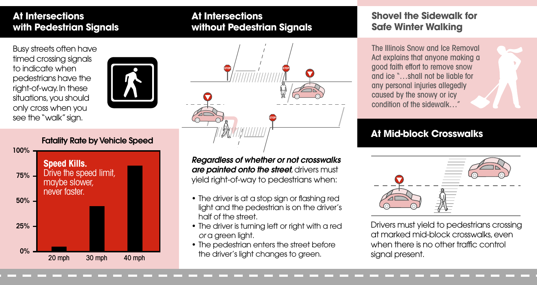## **At Intersections with Pedestrian Signals**

### **At Intersections without Pedestrian Signals**

**STOP STOP**

## **Shovel the Sidewalk for Safe Winter Walking**

The Illinois Snow and Ice Removal Act explains that anyone making a good faith effort to remove snow and ice "…shall not be liable for any personal injuries allegedly caused by the snowy or icy condition of the sidewalk…"

# **At Mid-block Crosswalks**



Drivers must yield to pedestrians crossing at marked mid-block crosswalks,even when there is no other traffic control signal present.

Busy streets often have timed crossing signals to indicate when pedestrians have the right-of-way.In these situations,you should only cross when you see the"walk"sign.





Regardless of whether or not crosswalks are painted onto the street, drivers must yield right-of-way to pedestrians when:

**STOP**

- The driver is at a stop sign or flashing red light and the pedestrian is on the driver's half of the street.
- The driver is turning left or right with a red or a green light.
- The pedestrian enters the street before the driver's light changes to green.